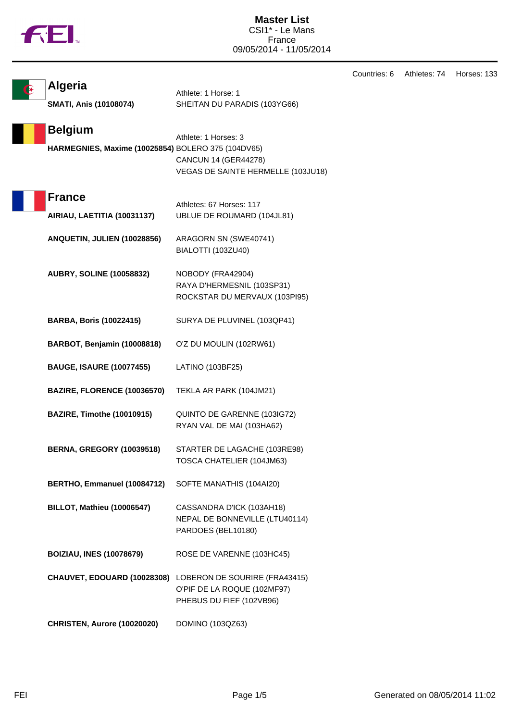|  |  | N |
|--|--|---|
|  |  |   |

Countries: 6 Athletes: 74 Horses: 133

| <b>Algeria</b>                                                       | Athlete: 1 Horse: 1                                                                                                  |
|----------------------------------------------------------------------|----------------------------------------------------------------------------------------------------------------------|
| <b>SMATI, Anis (10108074)</b>                                        | SHEITAN DU PARADIS (103YG66)                                                                                         |
| <b>Belgium</b><br>HARMEGNIES, Maxime (10025854) BOLERO 375 (104DV65) | Athlete: 1 Horses: 3<br><b>CANCUN 14 (GER44278)</b><br>VEGAS DE SAINTE HERMELLE (103JU18)                            |
| <b>France</b>                                                        | Athletes: 67 Horses: 117                                                                                             |
| AIRIAU, LAETITIA (10031137)                                          | UBLUE DE ROUMARD (104JL81)                                                                                           |
| ANQUETIN, JULIEN (10028856)                                          | ARAGORN SN (SWE40741)<br>BIALOTTI (103ZU40)                                                                          |
| <b>AUBRY, SOLINE (10058832)</b>                                      | NOBODY (FRA42904)<br>RAYA D'HERMESNIL (103SP31)<br>ROCKSTAR DU MERVAUX (103PI95)                                     |
| <b>BARBA, Boris (10022415)</b>                                       | SURYA DE PLUVINEL (103QP41)                                                                                          |
| BARBOT, Benjamin (10008818)                                          | O'Z DU MOULIN (102RW61)                                                                                              |
| <b>BAUGE, ISAURE (10077455)</b>                                      | LATINO (103BF25)                                                                                                     |
| BAZIRE, FLORENCE (10036570)                                          | TEKLA AR PARK (104JM21)                                                                                              |
| <b>BAZIRE, Timothe (10010915)</b>                                    | QUINTO DE GARENNE (103IG72)<br>RYAN VAL DE MAI (103HA62)                                                             |
| <b>BERNA, GREGORY (10039518)</b>                                     | STARTER DE LAGACHE (103RE98)<br>TOSCA CHATELIER (104JM63)                                                            |
| BERTHO, Emmanuel (10084712)                                          | SOFTE MANATHIS (104AI20)                                                                                             |
| <b>BILLOT, Mathieu (10006547)</b>                                    | CASSANDRA D'ICK (103AH18)<br>NEPAL DE BONNEVILLE (LTU40114)<br>PARDOES (BEL10180)                                    |
| <b>BOIZIAU, INES (10078679)</b>                                      | ROSE DE VARENNE (103HC45)                                                                                            |
|                                                                      | CHAUVET, EDOUARD (10028308) LOBERON DE SOURIRE (FRA43415)<br>O'PIF DE LA ROQUE (102MF97)<br>PHEBUS DU FIEF (102VB96) |
| CHRISTEN, Aurore (10020020)                                          | DOMINO (103QZ63)                                                                                                     |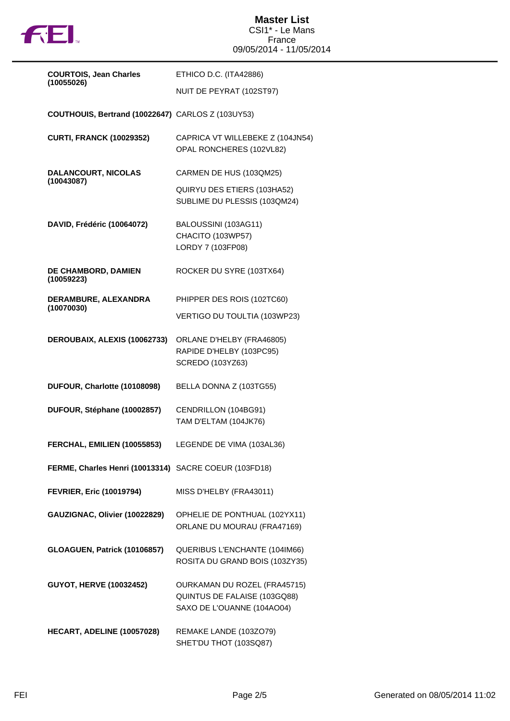

| <b>COURTOIS, Jean Charles</b><br>(10055026)           | ETHICO D.C. (ITA42886)                                         |
|-------------------------------------------------------|----------------------------------------------------------------|
|                                                       | NUIT DE PEYRAT (102ST97)                                       |
| COUTHOUIS, Bertrand (10022647) CARLOS Z (103UY53)     |                                                                |
| <b>CURTI, FRANCK (10029352)</b>                       | CAPRICA VT WILLEBEKE Z (104JN54)<br>OPAL RONCHERES (102VL82)   |
| <b>DALANCOURT, NICOLAS</b><br>(10043087)              | CARMEN DE HUS (103QM25)                                        |
|                                                       | QUIRYU DES ETIERS (103HA52)<br>SUBLIME DU PLESSIS (103QM24)    |
| DAVID, Frédéric (10064072)                            | BALOUSSINI (103AG11)<br>CHACITO (103WP57)<br>LORDY 7 (103FP08) |
| DE CHAMBORD, DAMIEN<br>(10059223)                     | ROCKER DU SYRE (103TX64)                                       |
| DERAMBURE, ALEXANDRA<br>(10070030)                    | PHIPPER DES ROIS (102TC60)                                     |
|                                                       | VERTIGO DU TOULTIA (103WP23)                                   |
| DEROUBAIX, ALEXIS (10062733)                          | ORLANE D'HELBY (FRA46805)                                      |
|                                                       | RAPIDE D'HELBY (103PC95)<br><b>SCREDO (103YZ63)</b>            |
| DUFOUR, Charlotte (10108098)                          | BELLA DONNA Z (103TG55)                                        |
| DUFOUR, Stéphane (10002857)                           | CENDRILLON (104BG91)                                           |
|                                                       | TAM D'ELTAM (104JK76)                                          |
| FERCHAL, EMILIEN (10055853)                           | LEGENDE DE VIMA (103AL36)                                      |
| FERME, Charles Henri (10013314) SACRE COEUR (103FD18) |                                                                |
| <b>FEVRIER, Eric (10019794)</b>                       | MISS D'HELBY (FRA43011)                                        |
| GAUZIGNAC, Olivier (10022829)                         | OPHELIE DE PONTHUAL (102YX11)<br>ORLANE DU MOURAU (FRA47169)   |
| GLOAGUEN, Patrick (10106857)                          | QUERIBUS L'ENCHANTE (104IM66)                                  |
|                                                       | ROSITA DU GRAND BOIS (103ZY35)                                 |
| <b>GUYOT, HERVE (10032452)</b>                        | OURKAMAN DU ROZEL (FRA45715)                                   |
|                                                       | QUINTUS DE FALAISE (103GQ88)<br>SAXO DE L'OUANNE (104AO04)     |
| HECART, ADELINE (10057028)                            | REMAKE LANDE (103ZO79)                                         |
|                                                       | SHET'DU THOT (103SQ87)                                         |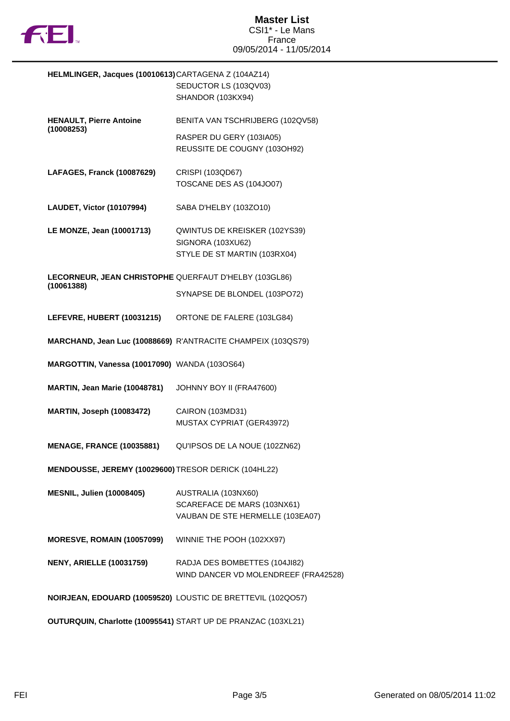

| HELMLINGER, Jacques (10010613) CARTAGENA Z (104AZ14)  | SEDUCTOR LS (103QV03)<br>SHANDOR (103KX94)                                             |
|-------------------------------------------------------|----------------------------------------------------------------------------------------|
|                                                       |                                                                                        |
| <b>HENAULT, Pierre Antoine</b><br>(10008253)          | BENITA VAN TSCHRIJBERG (102QV58)                                                       |
|                                                       | RASPER DU GERY (103IA05)<br>REUSSITE DE COUGNY (103OH92)                               |
| LAFAGES, Franck (10087629)                            | CRISPI (103QD67)<br>TOSCANE DES AS (104JO07)                                           |
| <b>LAUDET, Victor (10107994)</b>                      | SABA D'HELBY (103ZO10)                                                                 |
| LE MONZE, Jean (10001713)                             | QWINTUS DE KREISKER (102YS39)<br>SIGNORA (103XU62)<br>STYLE DE ST MARTIN (103RX04)     |
| LECORNEUR, JEAN CHRISTOPHE QUERFAUT D'HELBY (103GL86) |                                                                                        |
| (10061388)                                            | SYNAPSE DE BLONDEL (103PO72)                                                           |
| LEFEVRE, HUBERT (10031215)                            | ORTONE DE FALERE (103LG84)                                                             |
|                                                       | MARCHAND, Jean Luc (10088669) R'ANTRACITE CHAMPEIX (103QS79)                           |
| MARGOTTIN, Vanessa (10017090) WANDA (103OS64)         |                                                                                        |
| MARTIN, Jean Marie (10048781)                         | JOHNNY BOY II (FRA47600)                                                               |
| <b>MARTIN, Joseph (10083472)</b>                      | CAIRON (103MD31)<br>MUSTAX CYPRIAT (GER43972)                                          |
| <b>MENAGE, FRANCE (10035881)</b>                      | QU'IPSOS DE LA NOUE (102ZN62)                                                          |
| MENDOUSSE, JEREMY (10029600) TRESOR DERICK (104HL22)  |                                                                                        |
| <b>MESNIL, Julien (10008405)</b>                      | AUSTRALIA (103NX60)<br>SCAREFACE DE MARS (103NX61)<br>VAUBAN DE STE HERMELLE (103EA07) |
| <b>MORESVE, ROMAIN (10057099)</b>                     | WINNIE THE POOH (102XX97)                                                              |
| <b>NENY, ARIELLE (10031759)</b>                       | RADJA DES BOMBETTES (104JI82)<br>WIND DANCER VD MOLENDREEF (FRA42528)                  |
|                                                       | NOIRJEAN, EDOUARD (10059520) LOUSTIC DE BRETTEVIL (102QO57)                            |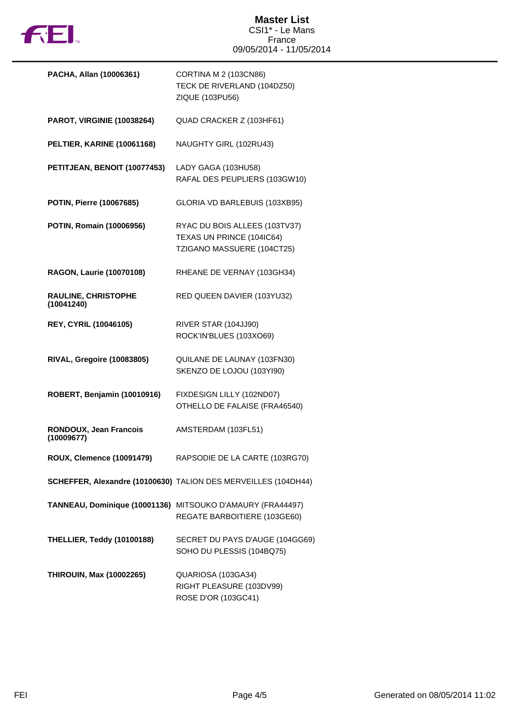

| PACHA, Allan (10006361)                  | CORTINA M 2 (103CN86)<br>TECK DE RIVERLAND (104DZ50)<br>ZIQUE (103PU56)                    |
|------------------------------------------|--------------------------------------------------------------------------------------------|
| <b>PAROT, VIRGINIE (10038264)</b>        | QUAD CRACKER Z (103HF61)                                                                   |
| PELTIER, KARINE (10061168)               | NAUGHTY GIRL (102RU43)                                                                     |
| PETITJEAN, BENOIT (10077453)             | LADY GAGA (103HU58)<br>RAFAL DES PEUPLIERS (103GW10)                                       |
| POTIN, Pierre (10067685)                 | GLORIA VD BARLEBUIS (103XB95)                                                              |
| POTIN, Romain (10006956)                 | RYAC DU BOIS ALLEES (103TV37)<br>TEXAS UN PRINCE (104IC64)<br>TZIGANO MASSUERE (104CT25)   |
| <b>RAGON, Laurie (10070108)</b>          | RHEANE DE VERNAY (103GH34)                                                                 |
| <b>RAULINE, CHRISTOPHE</b><br>(10041240) | RED QUEEN DAVIER (103YU32)                                                                 |
| REY, CYRIL (10046105)                    | RIVER STAR (104JJ90)<br>ROCK'IN'BLUES (103XO69)                                            |
| <b>RIVAL, Gregoire (10083805)</b>        | QUILANE DE LAUNAY (103FN30)<br>SKENZO DE LOJOU (103YI90)                                   |
| ROBERT, Benjamin (10010916)              | FIXDESIGN LILLY (102ND07)<br>OTHELLO DE FALAISE (FRA46540)                                 |
| RONDOUX, Jean Francois<br>(10009677)     | AMSTERDAM (103FL51)                                                                        |
| <b>ROUX, Clemence (10091479)</b>         | RAPSODIE DE LA CARTE (103RG70)                                                             |
|                                          | SCHEFFER, Alexandre (10100630) TALION DES MERVEILLES (104DH44)                             |
|                                          | TANNEAU, Dominique (10001136) MITSOUKO D'AMAURY (FRA44497)<br>REGATE BARBOITIERE (103GE60) |
| THELLIER, Teddy (10100188)               | SECRET DU PAYS D'AUGE (104GG69)<br>SOHO DU PLESSIS (104BQ75)                               |
| <b>THIROUIN, Max (10002265)</b>          | QUARIOSA (103GA34)<br>RIGHT PLEASURE (103DV99)<br>ROSE D'OR (103GC41)                      |